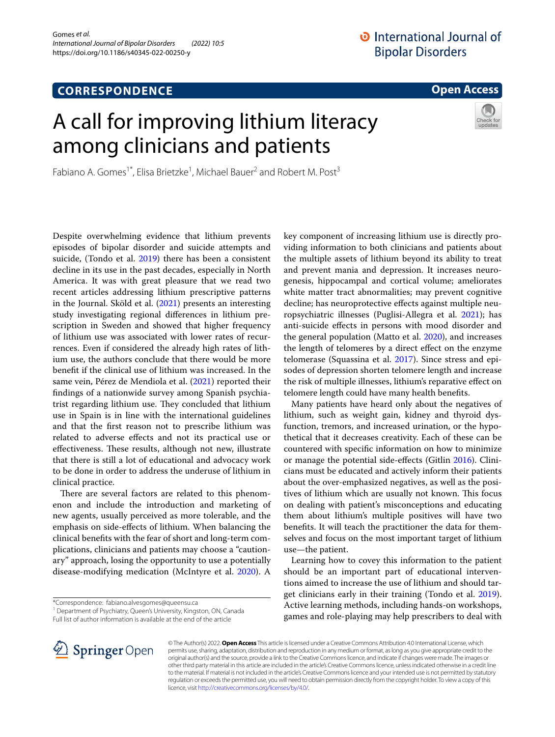## **CORRESPONDENCE**

**Open Access**

# A call for improving lithium literacy among clinicians and patients



Fabiano A. Gomes<sup>1\*</sup>, Elisa Brietzke<sup>1</sup>, Michael Bauer<sup>2</sup> and Robert M. Post<sup>3</sup>

Despite overwhelming evidence that lithium prevents episodes of bipolar disorder and suicide attempts and suicide, (Tondo et al. [2019\)](#page-1-0) there has been a consistent decline in its use in the past decades, especially in North America. It was with great pleasure that we read two recent articles addressing lithium prescriptive patterns in the Journal. Sköld et al. ([2021](#page-1-1)) presents an interesting study investigating regional diferences in lithium prescription in Sweden and showed that higher frequency of lithium use was associated with lower rates of recurrences. Even if considered the already high rates of lithium use, the authors conclude that there would be more beneft if the clinical use of lithium was increased. In the same vein, Pérez de Mendiola et al. [\(2021\)](#page-1-2) reported their fndings of a nationwide survey among Spanish psychiatrist regarding lithium use. They concluded that lithium use in Spain is in line with the international guidelines and that the frst reason not to prescribe lithium was related to adverse efects and not its practical use or effectiveness. These results, although not new, illustrate that there is still a lot of educational and advocacy work to be done in order to address the underuse of lithium in clinical practice.

There are several factors are related to this phenomenon and include the introduction and marketing of new agents, usually perceived as more tolerable, and the emphasis on side-efects of lithium. When balancing the clinical benefts with the fear of short and long-term complications, clinicians and patients may choose a "cautionary'' approach, losing the opportunity to use a potentially disease-modifying medication (McIntyre et al. [2020](#page-1-3)). A

<sup>1</sup> Department of Psychiatry, Queen's University, Kingston, ON, Canada Full list of author information is available at the end of the article

key component of increasing lithium use is directly providing information to both clinicians and patients about the multiple assets of lithium beyond its ability to treat and prevent mania and depression. It increases neurogenesis, hippocampal and cortical volume; ameliorates white matter tract abnormalities; may prevent cognitive decline; has neuroprotective efects against multiple neuropsychiatric illnesses (Puglisi-Allegra et al. [2021\)](#page-1-4); has anti-suicide efects in persons with mood disorder and the general population (Matto et al. [2020\)](#page-1-5), and increases the length of telomeres by a direct efect on the enzyme telomerase (Squassina et al. [2017](#page-1-6)). Since stress and episodes of depression shorten telomere length and increase the risk of multiple illnesses, lithium's reparative efect on telomere length could have many health benefts.

Many patients have heard only about the negatives of lithium, such as weight gain, kidney and thyroid dysfunction, tremors, and increased urination, or the hypothetical that it decreases creativity. Each of these can be countered with specifc information on how to minimize or manage the potential side-efects (Gitlin [2016](#page-1-7)). Clinicians must be educated and actively inform their patients about the over-emphasized negatives, as well as the positives of lithium which are usually not known. This focus on dealing with patient's misconceptions and educating them about lithium's multiple positives will have two benefts. It will teach the practitioner the data for themselves and focus on the most important target of lithium use—the patient.

Learning how to covey this information to the patient should be an important part of educational interventions aimed to increase the use of lithium and should tar-get clinicians early in their training (Tondo et al. [2019](#page-1-0)). Active learning methods, including hands-on workshops, games and role-playing may help prescribers to deal with



© The Author(s) 2022. **Open Access** This article is licensed under a Creative Commons Attribution 4.0 International License, which permits use, sharing, adaptation, distribution and reproduction in any medium or format, as long as you give appropriate credit to the original author(s) and the source, provide a link to the Creative Commons licence, and indicate if changes were made. The images or other third party material in this article are included in the article's Creative Commons licence, unless indicated otherwise in a credit line to the material. If material is not included in the article's Creative Commons licence and your intended use is not permitted by statutory regulation or exceeds the permitted use, you will need to obtain permission directly from the copyright holder. To view a copy of this licence, visit [http://creativecommons.org/licenses/by/4.0/.](http://creativecommons.org/licenses/by/4.0/)

<sup>\*</sup>Correspondence: fabiano.alvesgomes@queensu.ca